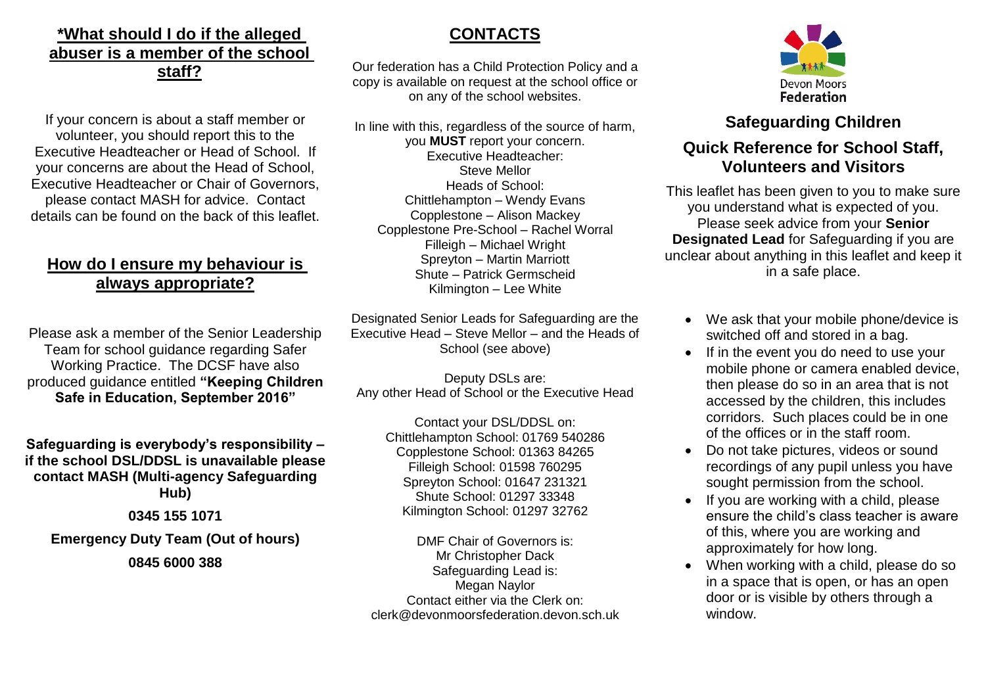## **\*What should I do if the alleged abuser is a member of the school staff?**

If your concern is about a staff member or volunteer, you should report this to the Executive Headteacher or Head of School. If your concerns are about the Head of School, Executive Headteacher or Chair of Governors, please contact MASH for advice. Contact details can be found on the back of this leaflet.

## **How do I ensure my behaviour is always appropriate?**

Please ask a member of the Senior Leadership Team for school guidance regarding Safer Working Practice. The DCSF have also produced guidance entitled **"Keeping Children Safe in Education, September 2016"**

**Safeguarding is everybody's responsibility – if the school DSL/DDSL is unavailable please contact MASH (Multi-agency Safeguarding Hub)**

**0345 155 1071**

**Emergency Duty Team (Out of hours)**

**0845 6000 388**

## **CONTACTS**

Our federation has a Child Protection Policy and a copy is available on request at the school office or on any of the school websites.

In line with this, regardless of the source of harm, you **MUST** report your concern. Executive Headteacher: Steve Mellor Heads of School: Chittlehampton – Wendy Evans Copplestone – Alison Mackey Copplestone Pre-School – Rachel Worral Filleigh – Michael Wright Spreyton – Martin Marriott Shute – Patrick Germscheid Kilmington – Lee White

Designated Senior Leads for Safeguarding are the Executive Head – Steve Mellor – and the Heads of School (see above)

Deputy DSLs are: Any other Head of School or the Executive Head

> Contact your DSL/DDSL on: Chittlehampton School: 01769 540286 Copplestone School: 01363 84265 Filleigh School: 01598 760295 Spreyton School: 01647 231321 Shute School: 01297 33348 Kilmington School: 01297 32762

DMF Chair of Governors is: Mr Christopher Dack Safeguarding Lead is: Megan Naylor Contact either via the Clerk on: clerk@devonmoorsfederation.devon.sch.uk



# **Safeguarding Children**

## **Quick Reference for School Staff, Volunteers and Visitors**

This leaflet has been given to you to make sure you understand what is expected of you. Please seek advice from your **Senior Designated Lead** for Safeguarding if you are unclear about anything in this leaflet and keep it in a safe place.

- We ask that your mobile phone/device is switched off and stored in a bag.
- If in the event you do need to use your mobile phone or camera enabled device, then please do so in an area that is not accessed by the children, this includes corridors. Such places could be in one of the offices or in the staff room.
- Do not take pictures, videos or sound recordings of any pupil unless you have sought permission from the school.
- If you are working with a child, please ensure the child's class teacher is aware of this, where you are working and approximately for how long.
- When working with a child, please do so in a space that is open, or has an open door or is visible by others through a window.